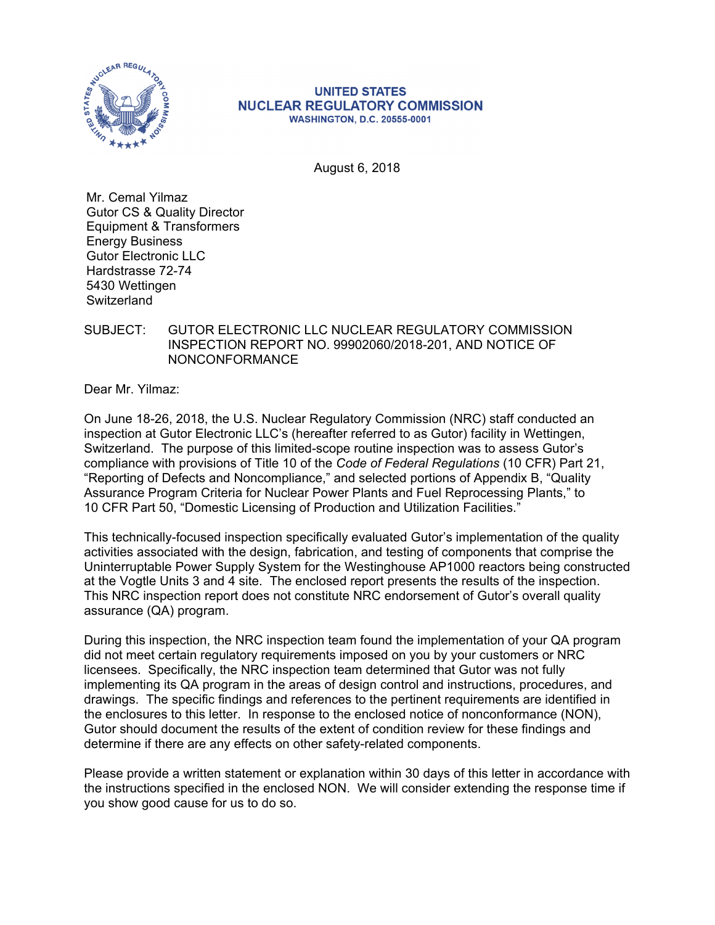

#### **UNITED STATES NUCLEAR REGULATORY COMMISSION WASHINGTON, D.C. 20555-0001**

August 6, 2018

Mr. Cemal Yilmaz Gutor CS & Quality Director Equipment & Transformers Energy Business Gutor Electronic LLC Hardstrasse 72-74 5430 Wettingen **Switzerland** 

# SUBJECT: GUTOR ELECTRONIC LLC NUCLEAR REGULATORY COMMISSION INSPECTION REPORT NO. 99902060/2018-201, AND NOTICE OF NONCONFORMANCE

Dear Mr. Yilmaz:

On June 18-26, 2018, the U.S. Nuclear Regulatory Commission (NRC) staff conducted an inspection at Gutor Electronic LLC's (hereafter referred to as Gutor) facility in Wettingen, Switzerland. The purpose of this limited-scope routine inspection was to assess Gutor's compliance with provisions of Title 10 of the *Code of Federal Regulations* (10 CFR) Part 21, "Reporting of Defects and Noncompliance," and selected portions of Appendix B, "Quality Assurance Program Criteria for Nuclear Power Plants and Fuel Reprocessing Plants," to 10 CFR Part 50, "Domestic Licensing of Production and Utilization Facilities."

This technically-focused inspection specifically evaluated Gutor's implementation of the quality activities associated with the design, fabrication, and testing of components that comprise the Uninterruptable Power Supply System for the Westinghouse AP1000 reactors being constructed at the Vogtle Units 3 and 4 site. The enclosed report presents the results of the inspection. This NRC inspection report does not constitute NRC endorsement of Gutor's overall quality assurance (QA) program.

During this inspection, the NRC inspection team found the implementation of your QA program did not meet certain regulatory requirements imposed on you by your customers or NRC licensees. Specifically, the NRC inspection team determined that Gutor was not fully implementing its QA program in the areas of design control and instructions, procedures, and drawings. The specific findings and references to the pertinent requirements are identified in the enclosures to this letter. In response to the enclosed notice of nonconformance (NON), Gutor should document the results of the extent of condition review for these findings and determine if there are any effects on other safety-related components.

Please provide a written statement or explanation within 30 days of this letter in accordance with the instructions specified in the enclosed NON. We will consider extending the response time if you show good cause for us to do so.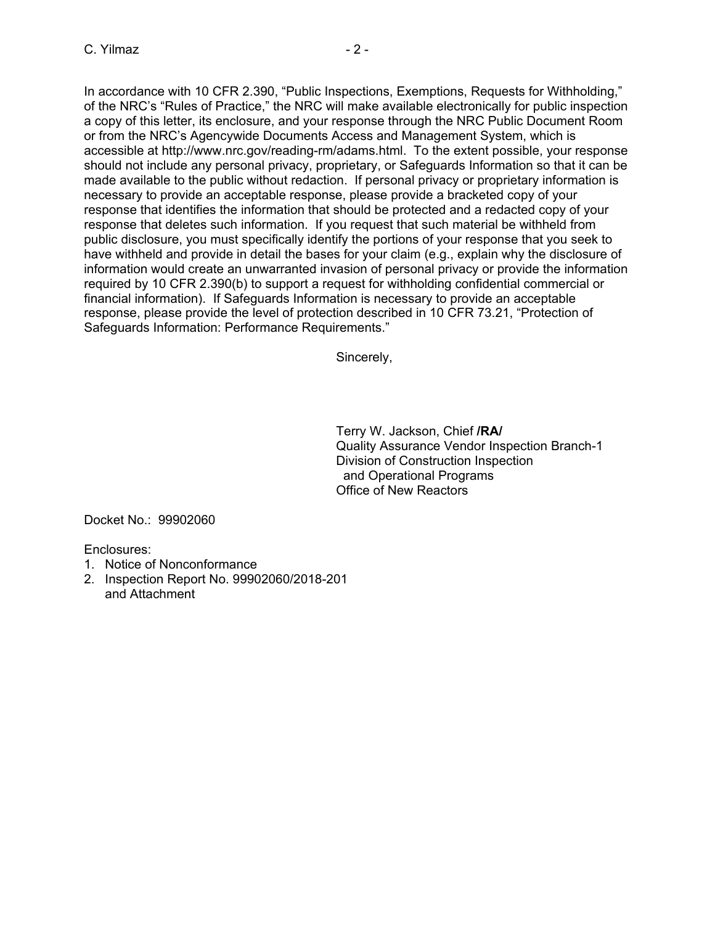In accordance with 10 CFR 2.390, "Public Inspections, Exemptions, Requests for Withholding," of the NRC's "Rules of Practice," the NRC will make available electronically for public inspection a copy of this letter, its enclosure, and your response through the NRC Public Document Room or from the NRC's Agencywide Documents Access and Management System, which is accessible at http://www.nrc.gov/reading-rm/adams.html. To the extent possible, your response should not include any personal privacy, proprietary, or Safeguards Information so that it can be made available to the public without redaction. If personal privacy or proprietary information is necessary to provide an acceptable response, please provide a bracketed copy of your response that identifies the information that should be protected and a redacted copy of your response that deletes such information. If you request that such material be withheld from public disclosure, you must specifically identify the portions of your response that you seek to have withheld and provide in detail the bases for your claim (e.g., explain why the disclosure of information would create an unwarranted invasion of personal privacy or provide the information required by 10 CFR 2.390(b) to support a request for withholding confidential commercial or financial information). If Safeguards Information is necessary to provide an acceptable response, please provide the level of protection described in 10 CFR 73.21, "Protection of Safeguards Information: Performance Requirements."

Sincerely,

Terry W. Jackson, Chief **/RA/**  Quality Assurance Vendor Inspection Branch-1 Division of Construction Inspection and Operational Programs Office of New Reactors

Docket No.: 99902060

Enclosures:

- 1. Notice of Nonconformance
- 2. Inspection Report No. 99902060/2018-201 and Attachment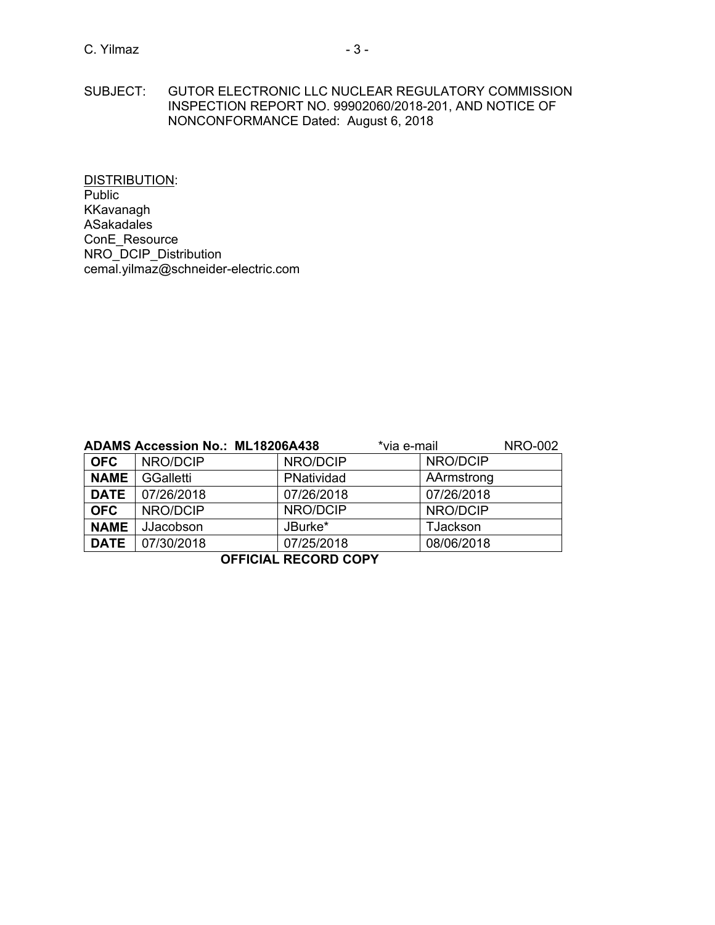DISTRIBUTION: Public KKavanagh ASakadales ConE\_Resource NRO\_DCIP\_Distribution cemal.yilmaz@schneider-electric.com

|             | <b>ADAMS Accession No.: ML18206A438</b> |            | *via e-mail     | <b>NRO-002</b> |
|-------------|-----------------------------------------|------------|-----------------|----------------|
| <b>OFC</b>  | NRO/DCIP                                | NRO/DCIP   | NRO/DCIP        |                |
| <b>NAME</b> | GGalletti                               | PNatividad | AArmstrong      |                |
| <b>DATE</b> | 07/26/2018                              | 07/26/2018 | 07/26/2018      |                |
| <b>OFC</b>  | NRO/DCIP                                | NRO/DCIP   | NRO/DCIP        |                |
| <b>NAME</b> | JJacobson                               | JBurke*    | <b>TJackson</b> |                |
| <b>DATE</b> | 07/30/2018                              | 07/25/2018 | 08/06/2018      |                |

**OFFICIAL RECORD COPY**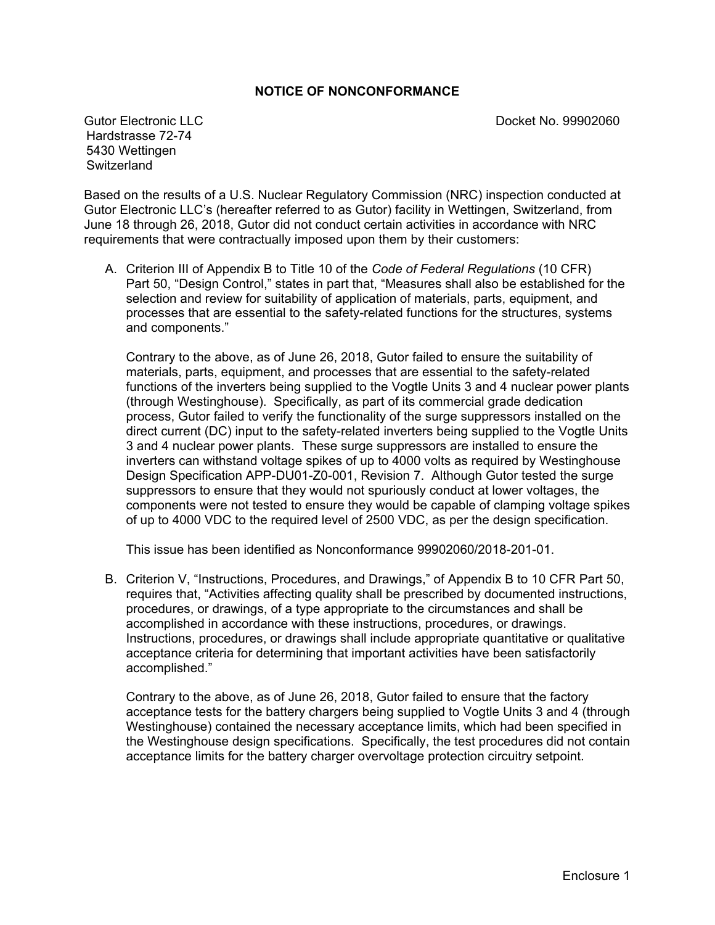# **NOTICE OF NONCONFORMANCE**

Gutor Electronic LLC **C** and C<sub>1</sub> and C<sub>1</sub> and C<sub>1</sub> and C<sub>1</sub> and C<sub>1</sub> and C<sub>1</sub> and C<sub>1</sub> and C<sub>1</sub> and C<sub>1</sub> and C<sub>1</sub> and C<sub>1</sub> and C<sub>1</sub> and C<sub>1</sub> and C<sub>1</sub> and C<sub>1</sub> and C<sub>1</sub> and C<sub>1</sub> and C<sub>1</sub> and C<sub>1</sub> and C<sub>1</sub> and C<sub>1</sub> and C<sub>1</sub>

Hardstrasse 72-74 5430 Wettingen **Switzerland** 

Based on the results of a U.S. Nuclear Regulatory Commission (NRC) inspection conducted at Gutor Electronic LLC's (hereafter referred to as Gutor) facility in Wettingen, Switzerland, from June 18 through 26, 2018, Gutor did not conduct certain activities in accordance with NRC requirements that were contractually imposed upon them by their customers:

A. Criterion III of Appendix B to Title 10 of the *Code of Federal Regulations* (10 CFR) Part 50, "Design Control," states in part that, "Measures shall also be established for the selection and review for suitability of application of materials, parts, equipment, and processes that are essential to the safety-related functions for the structures, systems and components."

Contrary to the above, as of June 26, 2018, Gutor failed to ensure the suitability of materials, parts, equipment, and processes that are essential to the safety-related functions of the inverters being supplied to the Vogtle Units 3 and 4 nuclear power plants (through Westinghouse). Specifically, as part of its commercial grade dedication process, Gutor failed to verify the functionality of the surge suppressors installed on the direct current (DC) input to the safety-related inverters being supplied to the Vogtle Units 3 and 4 nuclear power plants. These surge suppressors are installed to ensure the inverters can withstand voltage spikes of up to 4000 volts as required by Westinghouse Design Specification APP-DU01-Z0-001, Revision 7. Although Gutor tested the surge suppressors to ensure that they would not spuriously conduct at lower voltages, the components were not tested to ensure they would be capable of clamping voltage spikes of up to 4000 VDC to the required level of 2500 VDC, as per the design specification.

This issue has been identified as Nonconformance 99902060/2018-201-01.

B. Criterion V, "Instructions, Procedures, and Drawings," of Appendix B to 10 CFR Part 50, requires that, "Activities affecting quality shall be prescribed by documented instructions, procedures, or drawings, of a type appropriate to the circumstances and shall be accomplished in accordance with these instructions, procedures, or drawings. Instructions, procedures, or drawings shall include appropriate quantitative or qualitative acceptance criteria for determining that important activities have been satisfactorily accomplished."

Contrary to the above, as of June 26, 2018, Gutor failed to ensure that the factory acceptance tests for the battery chargers being supplied to Vogtle Units 3 and 4 (through Westinghouse) contained the necessary acceptance limits, which had been specified in the Westinghouse design specifications. Specifically, the test procedures did not contain acceptance limits for the battery charger overvoltage protection circuitry setpoint.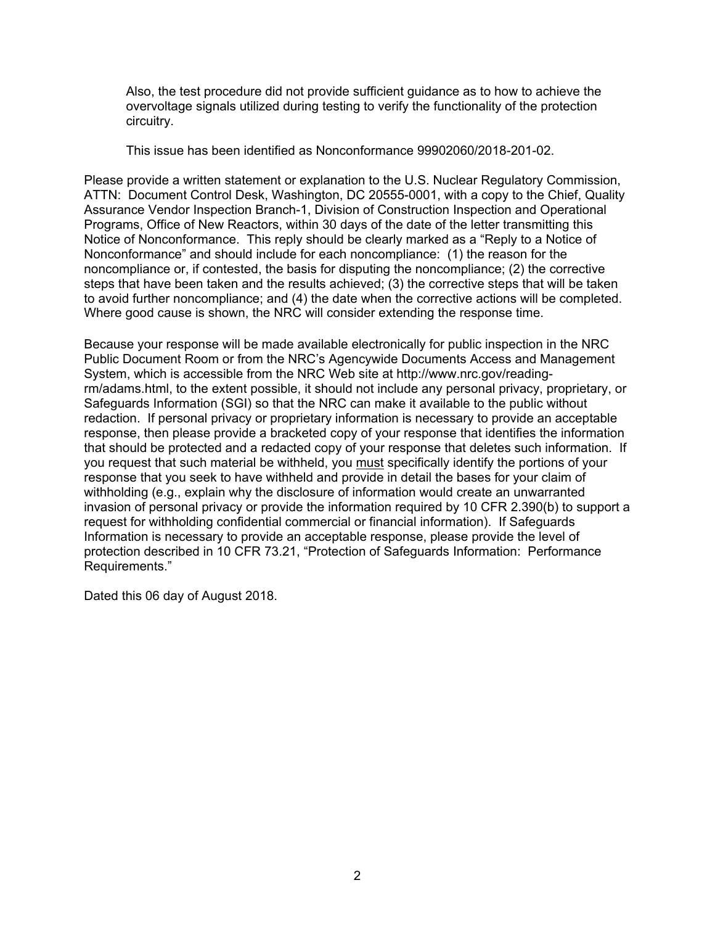Also, the test procedure did not provide sufficient guidance as to how to achieve the overvoltage signals utilized during testing to verify the functionality of the protection circuitry.

This issue has been identified as Nonconformance 99902060/2018-201-02.

Please provide a written statement or explanation to the U.S. Nuclear Regulatory Commission, ATTN: Document Control Desk, Washington, DC 20555-0001, with a copy to the Chief, Quality Assurance Vendor Inspection Branch-1, Division of Construction Inspection and Operational Programs, Office of New Reactors, within 30 days of the date of the letter transmitting this Notice of Nonconformance. This reply should be clearly marked as a "Reply to a Notice of Nonconformance" and should include for each noncompliance: (1) the reason for the noncompliance or, if contested, the basis for disputing the noncompliance; (2) the corrective steps that have been taken and the results achieved; (3) the corrective steps that will be taken to avoid further noncompliance; and (4) the date when the corrective actions will be completed. Where good cause is shown, the NRC will consider extending the response time.

Because your response will be made available electronically for public inspection in the NRC Public Document Room or from the NRC's Agencywide Documents Access and Management System, which is accessible from the NRC Web site at http://www.nrc.gov/readingrm/adams.html, to the extent possible, it should not include any personal privacy, proprietary, or Safeguards Information (SGI) so that the NRC can make it available to the public without redaction. If personal privacy or proprietary information is necessary to provide an acceptable response, then please provide a bracketed copy of your response that identifies the information that should be protected and a redacted copy of your response that deletes such information. If you request that such material be withheld, you must specifically identify the portions of your response that you seek to have withheld and provide in detail the bases for your claim of withholding (e.g., explain why the disclosure of information would create an unwarranted invasion of personal privacy or provide the information required by 10 CFR 2.390(b) to support a request for withholding confidential commercial or financial information). If Safeguards Information is necessary to provide an acceptable response, please provide the level of protection described in 10 CFR 73.21, "Protection of Safeguards Information: Performance Requirements."

Dated this 06 day of August 2018.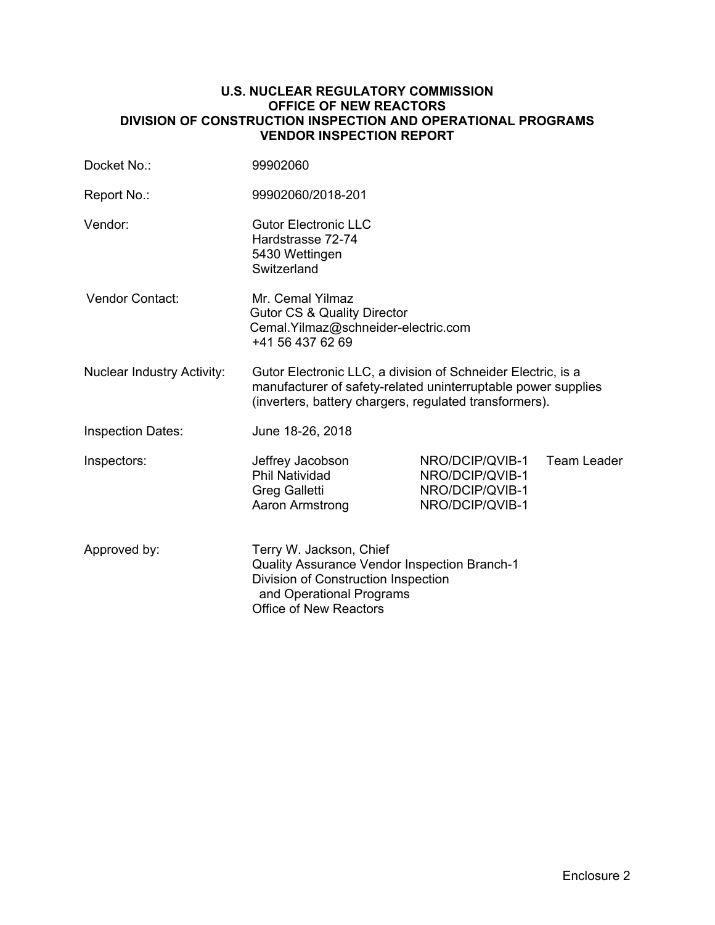#### **U.S. NUCLEAR REGULATORY COMMISSION OFFICE OF NEW REACTORS DIVISION OF CONSTRUCTION INSPECTION AND OPERATIONAL PROGRAMS VENDOR INSPECTION REPORT**

| Docket No.:                       | 99902060                                                                                                                                                                                |                                                                          |             |  |
|-----------------------------------|-----------------------------------------------------------------------------------------------------------------------------------------------------------------------------------------|--------------------------------------------------------------------------|-------------|--|
| Report No.:                       | 99902060/2018-201                                                                                                                                                                       |                                                                          |             |  |
| Vendor:                           | <b>Gutor Electronic LLC</b><br>Hardstrasse 72-74<br>5430 Wettingen<br>Switzerland                                                                                                       |                                                                          |             |  |
| <b>Vendor Contact:</b>            | Mr. Cemal Yilmaz<br><b>Gutor CS &amp; Quality Director</b><br>Cemal.Yilmaz@schneider-electric.com<br>+41 56 437 62 69                                                                   |                                                                          |             |  |
| <b>Nuclear Industry Activity:</b> | Gutor Electronic LLC, a division of Schneider Electric, is a<br>manufacturer of safety-related uninterruptable power supplies<br>(inverters, battery chargers, regulated transformers). |                                                                          |             |  |
| <b>Inspection Dates:</b>          | June 18-26, 2018                                                                                                                                                                        |                                                                          |             |  |
| Inspectors:                       | Jeffrey Jacobson<br><b>Phil Natividad</b><br>Greg Galletti<br>Aaron Armstrong                                                                                                           | NRO/DCIP/QVIB-1<br>NRO/DCIP/QVIB-1<br>NRO/DCIP/QVIB-1<br>NRO/DCIP/QVIB-1 | Team Leader |  |
| Approved by:                      | Terry W. Jackson, Chief<br><b>Quality Assurance Vendor Inspection Branch-1</b><br>Division of Construction Inspection<br>and Operational Programs<br><b>Office of New Reactors</b>      |                                                                          |             |  |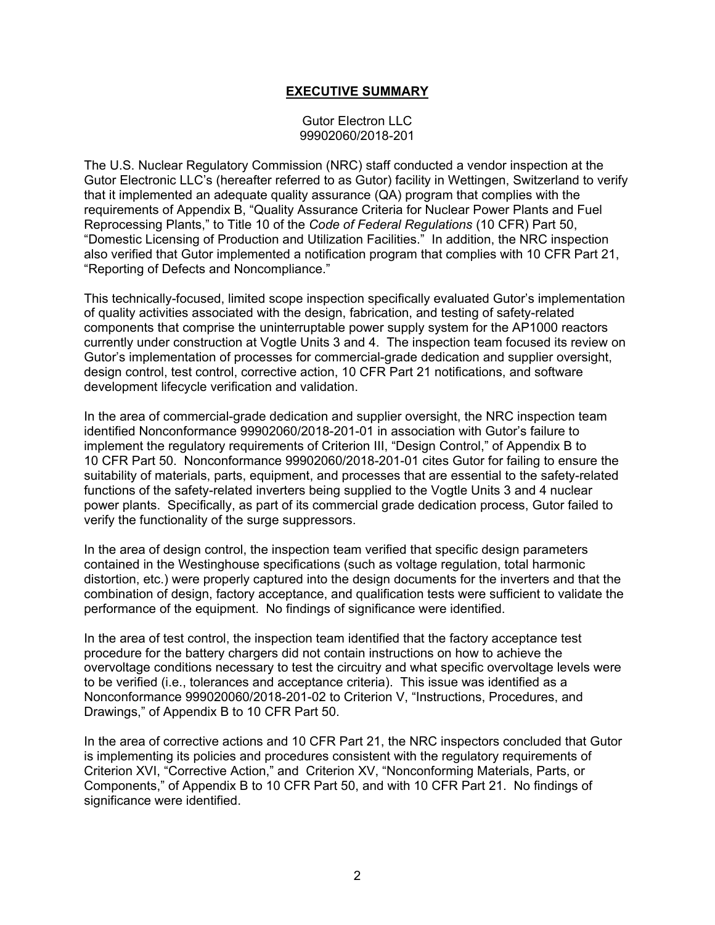# **EXECUTIVE SUMMARY**

Gutor Electron LLC 99902060/2018-201

The U.S. Nuclear Regulatory Commission (NRC) staff conducted a vendor inspection at the Gutor Electronic LLC's (hereafter referred to as Gutor) facility in Wettingen, Switzerland to verify that it implemented an adequate quality assurance (QA) program that complies with the requirements of Appendix B, "Quality Assurance Criteria for Nuclear Power Plants and Fuel Reprocessing Plants," to Title 10 of the *Code of Federal Regulations* (10 CFR) Part 50, "Domestic Licensing of Production and Utilization Facilities." In addition, the NRC inspection also verified that Gutor implemented a notification program that complies with 10 CFR Part 21, "Reporting of Defects and Noncompliance."

This technically-focused, limited scope inspection specifically evaluated Gutor's implementation of quality activities associated with the design, fabrication, and testing of safety-related components that comprise the uninterruptable power supply system for the AP1000 reactors currently under construction at Vogtle Units 3 and 4. The inspection team focused its review on Gutor's implementation of processes for commercial-grade dedication and supplier oversight, design control, test control, corrective action, 10 CFR Part 21 notifications, and software development lifecycle verification and validation.

In the area of commercial-grade dedication and supplier oversight, the NRC inspection team identified Nonconformance 99902060/2018-201-01 in association with Gutor's failure to implement the regulatory requirements of Criterion III, "Design Control," of Appendix B to 10 CFR Part 50. Nonconformance 99902060/2018-201-01 cites Gutor for failing to ensure the suitability of materials, parts, equipment, and processes that are essential to the safety-related functions of the safety-related inverters being supplied to the Vogtle Units 3 and 4 nuclear power plants. Specifically, as part of its commercial grade dedication process, Gutor failed to verify the functionality of the surge suppressors.

In the area of design control, the inspection team verified that specific design parameters contained in the Westinghouse specifications (such as voltage regulation, total harmonic distortion, etc.) were properly captured into the design documents for the inverters and that the combination of design, factory acceptance, and qualification tests were sufficient to validate the performance of the equipment. No findings of significance were identified.

In the area of test control, the inspection team identified that the factory acceptance test procedure for the battery chargers did not contain instructions on how to achieve the overvoltage conditions necessary to test the circuitry and what specific overvoltage levels were to be verified (i.e., tolerances and acceptance criteria). This issue was identified as a Nonconformance 999020060/2018-201-02 to Criterion V, "Instructions, Procedures, and Drawings," of Appendix B to 10 CFR Part 50.

In the area of corrective actions and 10 CFR Part 21, the NRC inspectors concluded that Gutor is implementing its policies and procedures consistent with the regulatory requirements of Criterion XVI, "Corrective Action," and Criterion XV, "Nonconforming Materials, Parts, or Components," of Appendix B to 10 CFR Part 50, and with 10 CFR Part 21. No findings of significance were identified.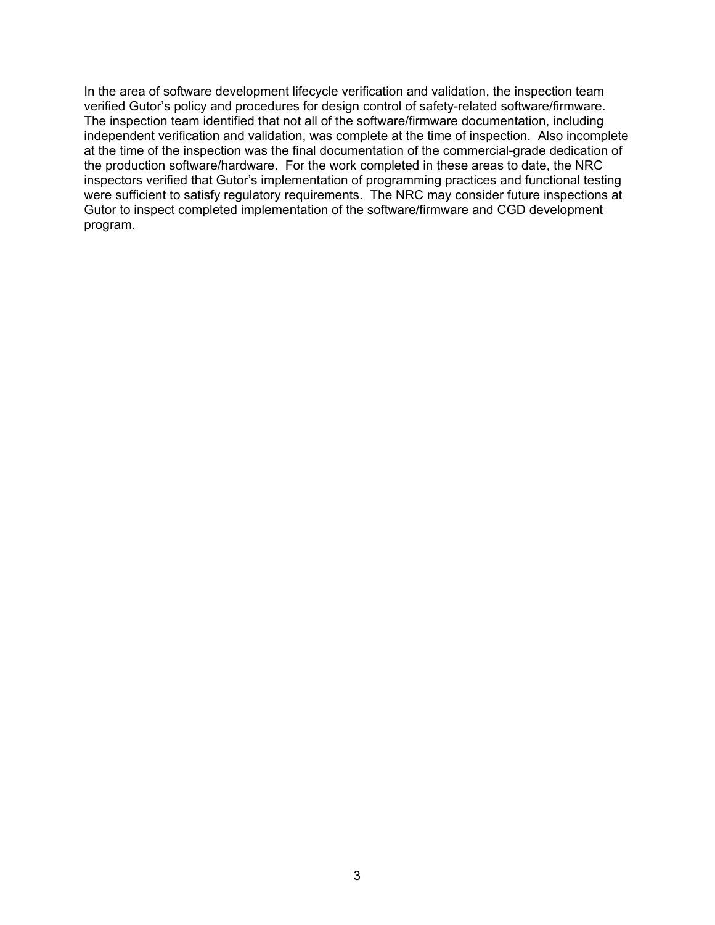In the area of software development lifecycle verification and validation, the inspection team verified Gutor's policy and procedures for design control of safety-related software/firmware. The inspection team identified that not all of the software/firmware documentation, including independent verification and validation, was complete at the time of inspection. Also incomplete at the time of the inspection was the final documentation of the commercial-grade dedication of the production software/hardware. For the work completed in these areas to date, the NRC inspectors verified that Gutor's implementation of programming practices and functional testing were sufficient to satisfy regulatory requirements. The NRC may consider future inspections at Gutor to inspect completed implementation of the software/firmware and CGD development program.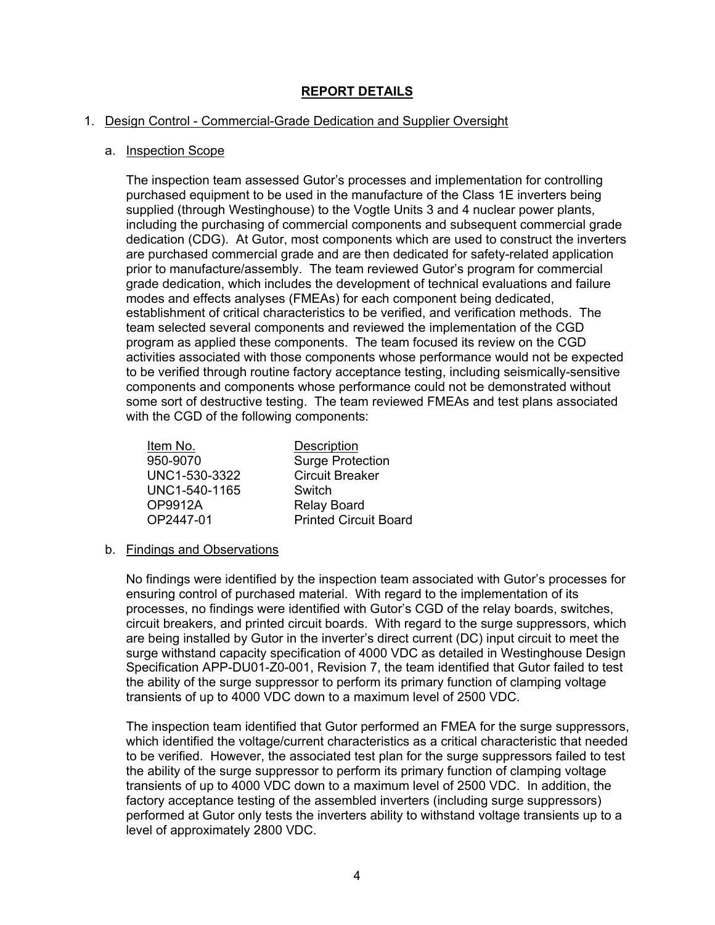# **REPORT DETAILS**

## 1. Design Control - Commercial-Grade Dedication and Supplier Oversight

#### a. Inspection Scope

The inspection team assessed Gutor's processes and implementation for controlling purchased equipment to be used in the manufacture of the Class 1E inverters being supplied (through Westinghouse) to the Vogtle Units 3 and 4 nuclear power plants, including the purchasing of commercial components and subsequent commercial grade dedication (CDG). At Gutor, most components which are used to construct the inverters are purchased commercial grade and are then dedicated for safety-related application prior to manufacture/assembly. The team reviewed Gutor's program for commercial grade dedication, which includes the development of technical evaluations and failure modes and effects analyses (FMEAs) for each component being dedicated, establishment of critical characteristics to be verified, and verification methods. The team selected several components and reviewed the implementation of the CGD program as applied these components. The team focused its review on the CGD activities associated with those components whose performance would not be expected to be verified through routine factory acceptance testing, including seismically-sensitive components and components whose performance could not be demonstrated without some sort of destructive testing. The team reviewed FMEAs and test plans associated with the CGD of the following components:

| Item No.      | Description                  |
|---------------|------------------------------|
| 950-9070      | <b>Surge Protection</b>      |
| UNC1-530-3322 | <b>Circuit Breaker</b>       |
| UNC1-540-1165 | Switch                       |
| OP9912A       | <b>Relay Board</b>           |
| OP2447-01     | <b>Printed Circuit Board</b> |

#### b. Findings and Observations

No findings were identified by the inspection team associated with Gutor's processes for ensuring control of purchased material. With regard to the implementation of its processes, no findings were identified with Gutor's CGD of the relay boards, switches, circuit breakers, and printed circuit boards. With regard to the surge suppressors, which are being installed by Gutor in the inverter's direct current (DC) input circuit to meet the surge withstand capacity specification of 4000 VDC as detailed in Westinghouse Design Specification APP-DU01-Z0-001, Revision 7, the team identified that Gutor failed to test the ability of the surge suppressor to perform its primary function of clamping voltage transients of up to 4000 VDC down to a maximum level of 2500 VDC.

The inspection team identified that Gutor performed an FMEA for the surge suppressors, which identified the voltage/current characteristics as a critical characteristic that needed to be verified. However, the associated test plan for the surge suppressors failed to test the ability of the surge suppressor to perform its primary function of clamping voltage transients of up to 4000 VDC down to a maximum level of 2500 VDC. In addition, the factory acceptance testing of the assembled inverters (including surge suppressors) performed at Gutor only tests the inverters ability to withstand voltage transients up to a level of approximately 2800 VDC.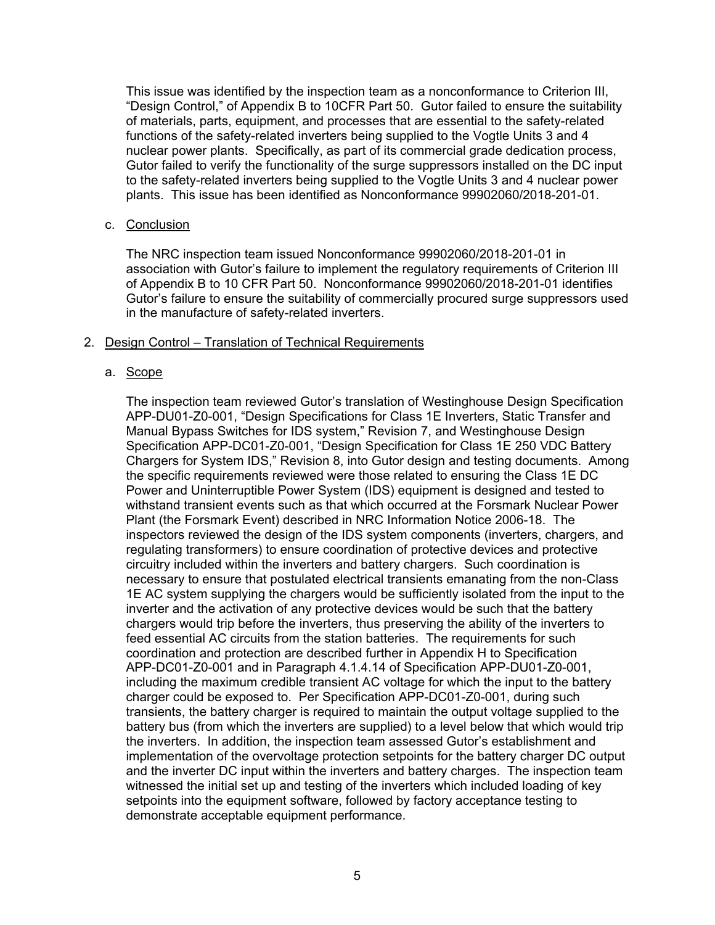This issue was identified by the inspection team as a nonconformance to Criterion III, "Design Control," of Appendix B to 10CFR Part 50. Gutor failed to ensure the suitability of materials, parts, equipment, and processes that are essential to the safety-related functions of the safety-related inverters being supplied to the Vogtle Units 3 and 4 nuclear power plants. Specifically, as part of its commercial grade dedication process, Gutor failed to verify the functionality of the surge suppressors installed on the DC input to the safety-related inverters being supplied to the Vogtle Units 3 and 4 nuclear power plants. This issue has been identified as Nonconformance 99902060/2018-201-01.

#### c. Conclusion

The NRC inspection team issued Nonconformance 99902060/2018-201-01 in association with Gutor's failure to implement the regulatory requirements of Criterion III of Appendix B to 10 CFR Part 50. Nonconformance 99902060/2018-201-01 identifies Gutor's failure to ensure the suitability of commercially procured surge suppressors used in the manufacture of safety-related inverters.

## 2. Design Control – Translation of Technical Requirements

# a. Scope

The inspection team reviewed Gutor's translation of Westinghouse Design Specification APP-DU01-Z0-001, "Design Specifications for Class 1E Inverters, Static Transfer and Manual Bypass Switches for IDS system," Revision 7, and Westinghouse Design Specification APP-DC01-Z0-001, "Design Specification for Class 1E 250 VDC Battery Chargers for System IDS," Revision 8, into Gutor design and testing documents. Among the specific requirements reviewed were those related to ensuring the Class 1E DC Power and Uninterruptible Power System (IDS) equipment is designed and tested to withstand transient events such as that which occurred at the Forsmark Nuclear Power Plant (the Forsmark Event) described in NRC Information Notice 2006-18. The inspectors reviewed the design of the IDS system components (inverters, chargers, and regulating transformers) to ensure coordination of protective devices and protective circuitry included within the inverters and battery chargers. Such coordination is necessary to ensure that postulated electrical transients emanating from the non-Class 1E AC system supplying the chargers would be sufficiently isolated from the input to the inverter and the activation of any protective devices would be such that the battery chargers would trip before the inverters, thus preserving the ability of the inverters to feed essential AC circuits from the station batteries. The requirements for such coordination and protection are described further in Appendix H to Specification APP-DC01-Z0-001 and in Paragraph 4.1.4.14 of Specification APP-DU01-Z0-001, including the maximum credible transient AC voltage for which the input to the battery charger could be exposed to. Per Specification APP-DC01-Z0-001, during such transients, the battery charger is required to maintain the output voltage supplied to the battery bus (from which the inverters are supplied) to a level below that which would trip the inverters. In addition, the inspection team assessed Gutor's establishment and implementation of the overvoltage protection setpoints for the battery charger DC output and the inverter DC input within the inverters and battery charges. The inspection team witnessed the initial set up and testing of the inverters which included loading of key setpoints into the equipment software, followed by factory acceptance testing to demonstrate acceptable equipment performance.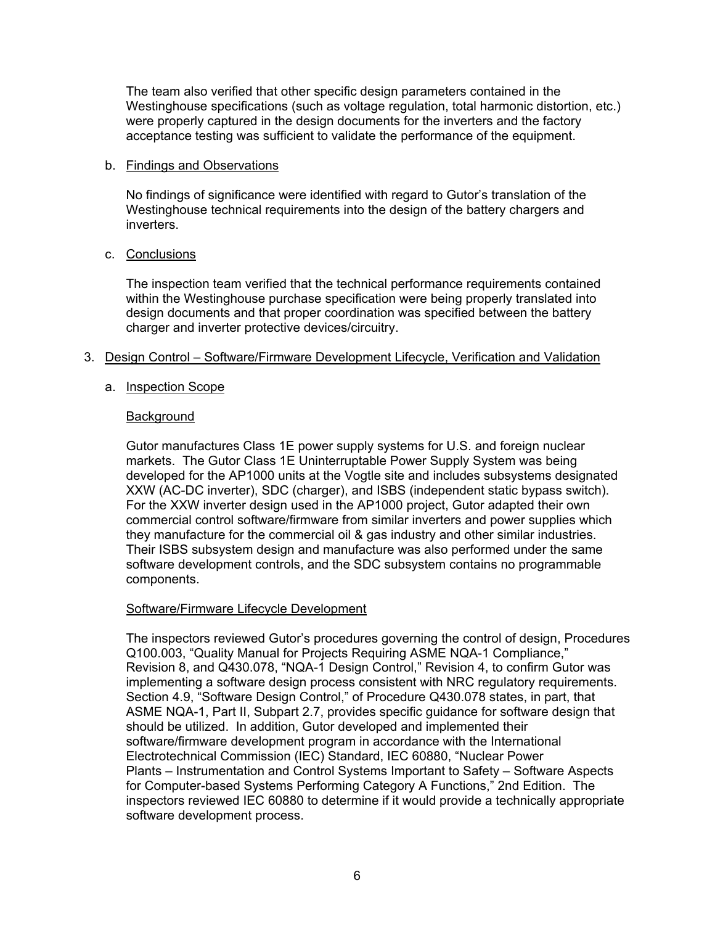The team also verified that other specific design parameters contained in the Westinghouse specifications (such as voltage regulation, total harmonic distortion, etc.) were properly captured in the design documents for the inverters and the factory acceptance testing was sufficient to validate the performance of the equipment.

#### b. Findings and Observations

No findings of significance were identified with regard to Gutor's translation of the Westinghouse technical requirements into the design of the battery chargers and inverters.

## c. Conclusions

The inspection team verified that the technical performance requirements contained within the Westinghouse purchase specification were being properly translated into design documents and that proper coordination was specified between the battery charger and inverter protective devices/circuitry.

## 3. Design Control – Software/Firmware Development Lifecycle, Verification and Validation

## a. Inspection Scope

## **Background**

Gutor manufactures Class 1E power supply systems for U.S. and foreign nuclear markets. The Gutor Class 1E Uninterruptable Power Supply System was being developed for the AP1000 units at the Vogtle site and includes subsystems designated XXW (AC-DC inverter), SDC (charger), and ISBS (independent static bypass switch). For the XXW inverter design used in the AP1000 project, Gutor adapted their own commercial control software/firmware from similar inverters and power supplies which they manufacture for the commercial oil & gas industry and other similar industries. Their ISBS subsystem design and manufacture was also performed under the same software development controls, and the SDC subsystem contains no programmable components.

# Software/Firmware Lifecycle Development

The inspectors reviewed Gutor's procedures governing the control of design, Procedures Q100.003, "Quality Manual for Projects Requiring ASME NQA-1 Compliance," Revision 8, and Q430.078, "NQA-1 Design Control," Revision 4, to confirm Gutor was implementing a software design process consistent with NRC regulatory requirements. Section 4.9, "Software Design Control," of Procedure Q430.078 states, in part, that ASME NQA-1, Part II, Subpart 2.7, provides specific guidance for software design that should be utilized. In addition, Gutor developed and implemented their software/firmware development program in accordance with the International Electrotechnical Commission (IEC) Standard, IEC 60880, "Nuclear Power Plants – Instrumentation and Control Systems Important to Safety – Software Aspects for Computer-based Systems Performing Category A Functions," 2nd Edition. The inspectors reviewed IEC 60880 to determine if it would provide a technically appropriate software development process.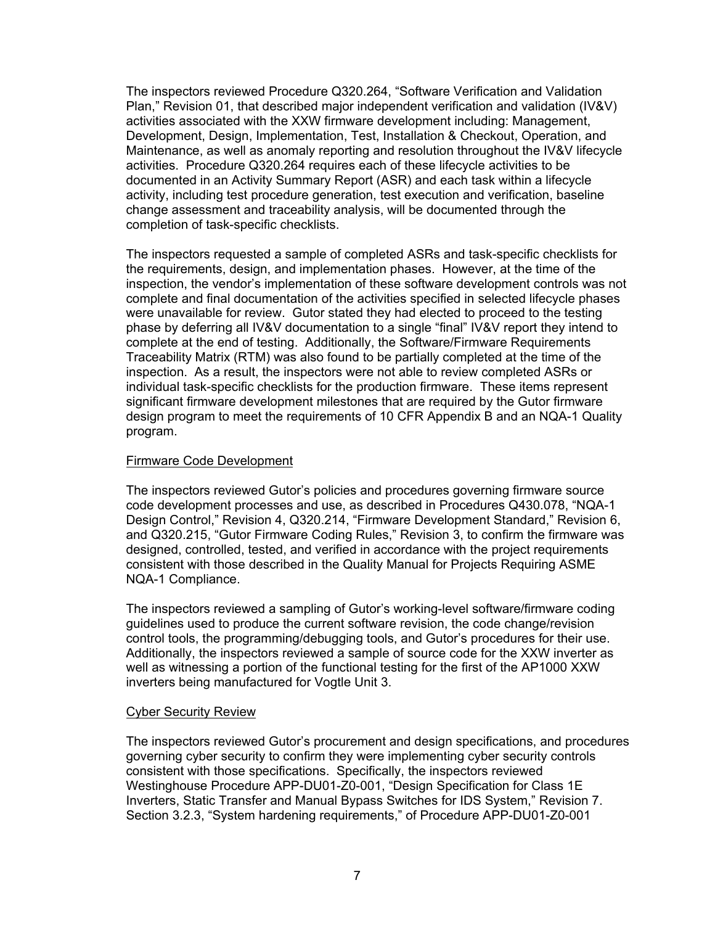The inspectors reviewed Procedure Q320.264, "Software Verification and Validation Plan," Revision 01, that described major independent verification and validation (IV&V) activities associated with the XXW firmware development including: Management, Development, Design, Implementation, Test, Installation & Checkout, Operation, and Maintenance, as well as anomaly reporting and resolution throughout the IV&V lifecycle activities. Procedure Q320.264 requires each of these lifecycle activities to be documented in an Activity Summary Report (ASR) and each task within a lifecycle activity, including test procedure generation, test execution and verification, baseline change assessment and traceability analysis, will be documented through the completion of task-specific checklists.

The inspectors requested a sample of completed ASRs and task-specific checklists for the requirements, design, and implementation phases. However, at the time of the inspection, the vendor's implementation of these software development controls was not complete and final documentation of the activities specified in selected lifecycle phases were unavailable for review. Gutor stated they had elected to proceed to the testing phase by deferring all IV&V documentation to a single "final" IV&V report they intend to complete at the end of testing. Additionally, the Software/Firmware Requirements Traceability Matrix (RTM) was also found to be partially completed at the time of the inspection. As a result, the inspectors were not able to review completed ASRs or individual task-specific checklists for the production firmware. These items represent significant firmware development milestones that are required by the Gutor firmware design program to meet the requirements of 10 CFR Appendix B and an NQA-1 Quality program.

#### Firmware Code Development

The inspectors reviewed Gutor's policies and procedures governing firmware source code development processes and use, as described in Procedures Q430.078, "NQA-1 Design Control," Revision 4, Q320.214, "Firmware Development Standard," Revision 6, and Q320.215, "Gutor Firmware Coding Rules," Revision 3, to confirm the firmware was designed, controlled, tested, and verified in accordance with the project requirements consistent with those described in the Quality Manual for Projects Requiring ASME NQA-1 Compliance.

The inspectors reviewed a sampling of Gutor's working-level software/firmware coding guidelines used to produce the current software revision, the code change/revision control tools, the programming/debugging tools, and Gutor's procedures for their use. Additionally, the inspectors reviewed a sample of source code for the XXW inverter as well as witnessing a portion of the functional testing for the first of the AP1000 XXW inverters being manufactured for Vogtle Unit 3.

# Cyber Security Review

The inspectors reviewed Gutor's procurement and design specifications, and procedures governing cyber security to confirm they were implementing cyber security controls consistent with those specifications. Specifically, the inspectors reviewed Westinghouse Procedure APP-DU01-Z0-001, "Design Specification for Class 1E Inverters, Static Transfer and Manual Bypass Switches for IDS System," Revision 7. Section 3.2.3, "System hardening requirements," of Procedure APP-DU01-Z0-001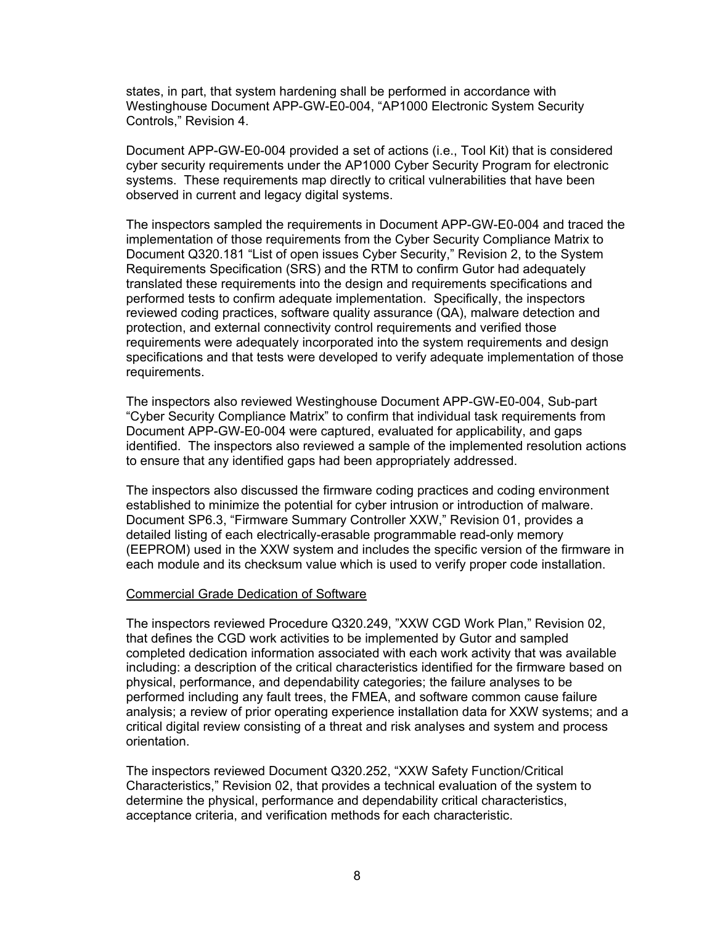states, in part, that system hardening shall be performed in accordance with Westinghouse Document APP-GW-E0-004, "AP1000 Electronic System Security Controls," Revision 4.

Document APP-GW-E0-004 provided a set of actions (i.e., Tool Kit) that is considered cyber security requirements under the AP1000 Cyber Security Program for electronic systems. These requirements map directly to critical vulnerabilities that have been observed in current and legacy digital systems.

The inspectors sampled the requirements in Document APP-GW-E0-004 and traced the implementation of those requirements from the Cyber Security Compliance Matrix to Document Q320.181 "List of open issues Cyber Security," Revision 2, to the System Requirements Specification (SRS) and the RTM to confirm Gutor had adequately translated these requirements into the design and requirements specifications and performed tests to confirm adequate implementation. Specifically, the inspectors reviewed coding practices, software quality assurance (QA), malware detection and protection, and external connectivity control requirements and verified those requirements were adequately incorporated into the system requirements and design specifications and that tests were developed to verify adequate implementation of those requirements.

The inspectors also reviewed Westinghouse Document APP-GW-E0-004, Sub-part "Cyber Security Compliance Matrix" to confirm that individual task requirements from Document APP-GW-E0-004 were captured, evaluated for applicability, and gaps identified. The inspectors also reviewed a sample of the implemented resolution actions to ensure that any identified gaps had been appropriately addressed.

The inspectors also discussed the firmware coding practices and coding environment established to minimize the potential for cyber intrusion or introduction of malware. Document SP6.3, "Firmware Summary Controller XXW," Revision 01, provides a detailed listing of each electrically-erasable programmable read-only memory (EEPROM) used in the XXW system and includes the specific version of the firmware in each module and its checksum value which is used to verify proper code installation.

#### Commercial Grade Dedication of Software

The inspectors reviewed Procedure Q320.249, "XXW CGD Work Plan," Revision 02, that defines the CGD work activities to be implemented by Gutor and sampled completed dedication information associated with each work activity that was available including: a description of the critical characteristics identified for the firmware based on physical, performance, and dependability categories; the failure analyses to be performed including any fault trees, the FMEA, and software common cause failure analysis; a review of prior operating experience installation data for XXW systems; and a critical digital review consisting of a threat and risk analyses and system and process orientation.

The inspectors reviewed Document Q320.252, "XXW Safety Function/Critical Characteristics," Revision 02, that provides a technical evaluation of the system to determine the physical, performance and dependability critical characteristics, acceptance criteria, and verification methods for each characteristic.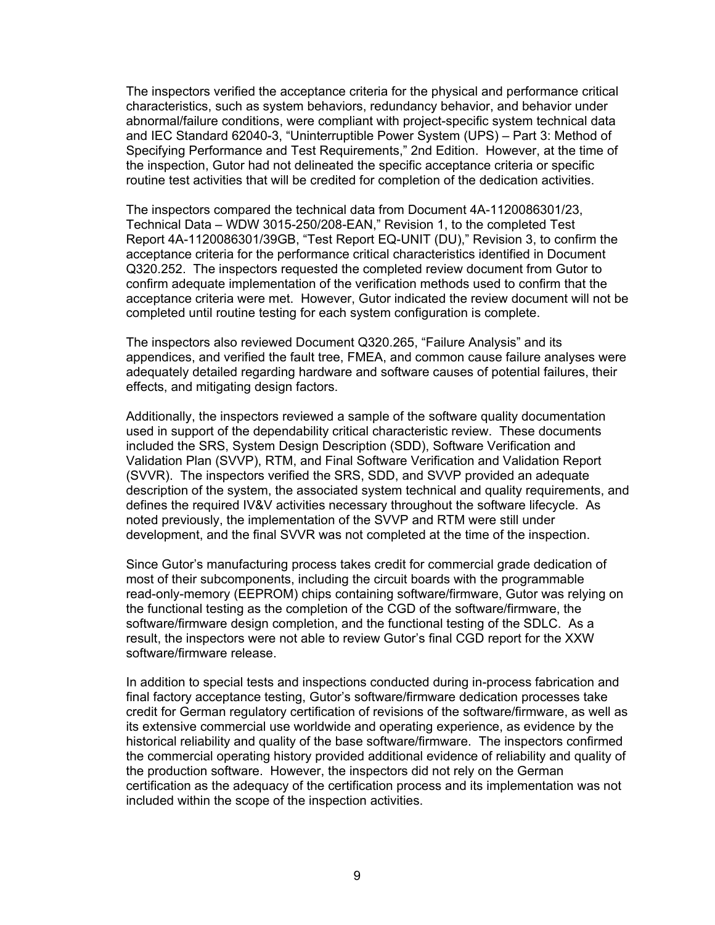The inspectors verified the acceptance criteria for the physical and performance critical characteristics, such as system behaviors, redundancy behavior, and behavior under abnormal/failure conditions, were compliant with project-specific system technical data and IEC Standard 62040-3, "Uninterruptible Power System (UPS) – Part 3: Method of Specifying Performance and Test Requirements," 2nd Edition. However, at the time of the inspection, Gutor had not delineated the specific acceptance criteria or specific routine test activities that will be credited for completion of the dedication activities.

The inspectors compared the technical data from Document 4A-1120086301/23, Technical Data – WDW 3015-250/208-EAN," Revision 1, to the completed Test Report 4A-1120086301/39GB, "Test Report EQ-UNIT (DU)," Revision 3, to confirm the acceptance criteria for the performance critical characteristics identified in Document Q320.252. The inspectors requested the completed review document from Gutor to confirm adequate implementation of the verification methods used to confirm that the acceptance criteria were met. However, Gutor indicated the review document will not be completed until routine testing for each system configuration is complete.

The inspectors also reviewed Document Q320.265, "Failure Analysis" and its appendices, and verified the fault tree, FMEA, and common cause failure analyses were adequately detailed regarding hardware and software causes of potential failures, their effects, and mitigating design factors.

Additionally, the inspectors reviewed a sample of the software quality documentation used in support of the dependability critical characteristic review. These documents included the SRS, System Design Description (SDD), Software Verification and Validation Plan (SVVP), RTM, and Final Software Verification and Validation Report (SVVR). The inspectors verified the SRS, SDD, and SVVP provided an adequate description of the system, the associated system technical and quality requirements, and defines the required IV&V activities necessary throughout the software lifecycle. As noted previously, the implementation of the SVVP and RTM were still under development, and the final SVVR was not completed at the time of the inspection.

Since Gutor's manufacturing process takes credit for commercial grade dedication of most of their subcomponents, including the circuit boards with the programmable read-only-memory (EEPROM) chips containing software/firmware, Gutor was relying on the functional testing as the completion of the CGD of the software/firmware, the software/firmware design completion, and the functional testing of the SDLC. As a result, the inspectors were not able to review Gutor's final CGD report for the XXW software/firmware release.

In addition to special tests and inspections conducted during in-process fabrication and final factory acceptance testing, Gutor's software/firmware dedication processes take credit for German regulatory certification of revisions of the software/firmware, as well as its extensive commercial use worldwide and operating experience, as evidence by the historical reliability and quality of the base software/firmware. The inspectors confirmed the commercial operating history provided additional evidence of reliability and quality of the production software. However, the inspectors did not rely on the German certification as the adequacy of the certification process and its implementation was not included within the scope of the inspection activities.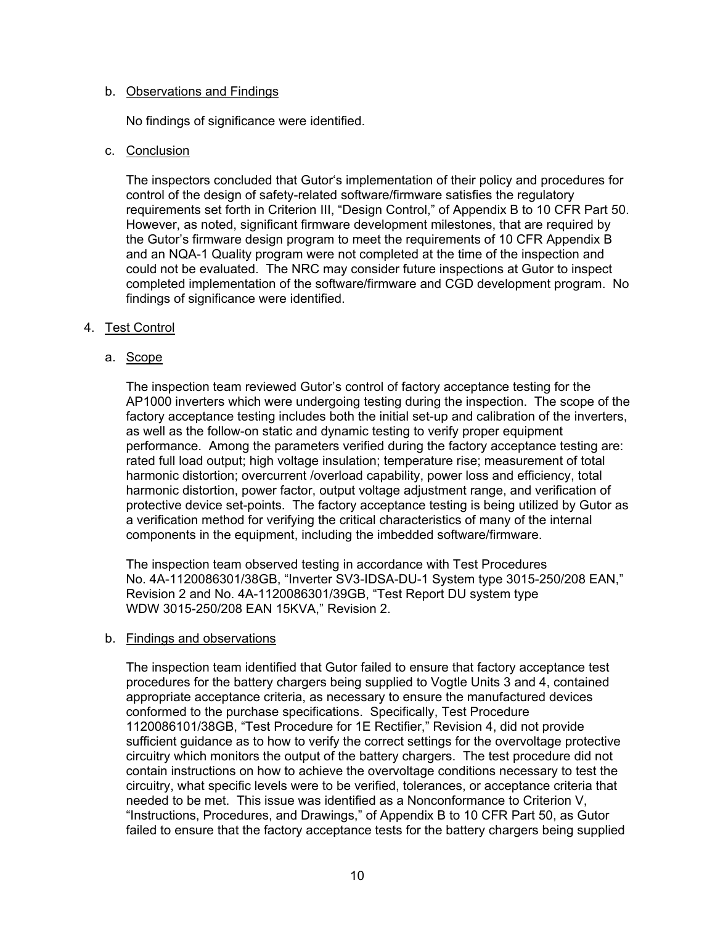#### b. Observations and Findings

No findings of significance were identified.

## c. Conclusion

The inspectors concluded that Gutor's implementation of their policy and procedures for control of the design of safety-related software/firmware satisfies the regulatory requirements set forth in Criterion III, "Design Control," of Appendix B to 10 CFR Part 50. However, as noted, significant firmware development milestones, that are required by the Gutor's firmware design program to meet the requirements of 10 CFR Appendix B and an NQA-1 Quality program were not completed at the time of the inspection and could not be evaluated. The NRC may consider future inspections at Gutor to inspect completed implementation of the software/firmware and CGD development program. No findings of significance were identified.

## 4. Test Control

## a. Scope

The inspection team reviewed Gutor's control of factory acceptance testing for the AP1000 inverters which were undergoing testing during the inspection. The scope of the factory acceptance testing includes both the initial set-up and calibration of the inverters, as well as the follow-on static and dynamic testing to verify proper equipment performance. Among the parameters verified during the factory acceptance testing are: rated full load output; high voltage insulation; temperature rise; measurement of total harmonic distortion; overcurrent /overload capability, power loss and efficiency, total harmonic distortion, power factor, output voltage adjustment range, and verification of protective device set-points. The factory acceptance testing is being utilized by Gutor as a verification method for verifying the critical characteristics of many of the internal components in the equipment, including the imbedded software/firmware.

The inspection team observed testing in accordance with Test Procedures No. 4A-1120086301/38GB, "Inverter SV3-IDSA-DU-1 System type 3015-250/208 EAN," Revision 2 and No. 4A-1120086301/39GB, "Test Report DU system type WDW 3015-250/208 EAN 15KVA," Revision 2.

#### b. Findings and observations

The inspection team identified that Gutor failed to ensure that factory acceptance test procedures for the battery chargers being supplied to Vogtle Units 3 and 4, contained appropriate acceptance criteria, as necessary to ensure the manufactured devices conformed to the purchase specifications. Specifically, Test Procedure 1120086101/38GB, "Test Procedure for 1E Rectifier," Revision 4, did not provide sufficient guidance as to how to verify the correct settings for the overvoltage protective circuitry which monitors the output of the battery chargers. The test procedure did not contain instructions on how to achieve the overvoltage conditions necessary to test the circuitry, what specific levels were to be verified, tolerances, or acceptance criteria that needed to be met. This issue was identified as a Nonconformance to Criterion V, "Instructions, Procedures, and Drawings," of Appendix B to 10 CFR Part 50, as Gutor failed to ensure that the factory acceptance tests for the battery chargers being supplied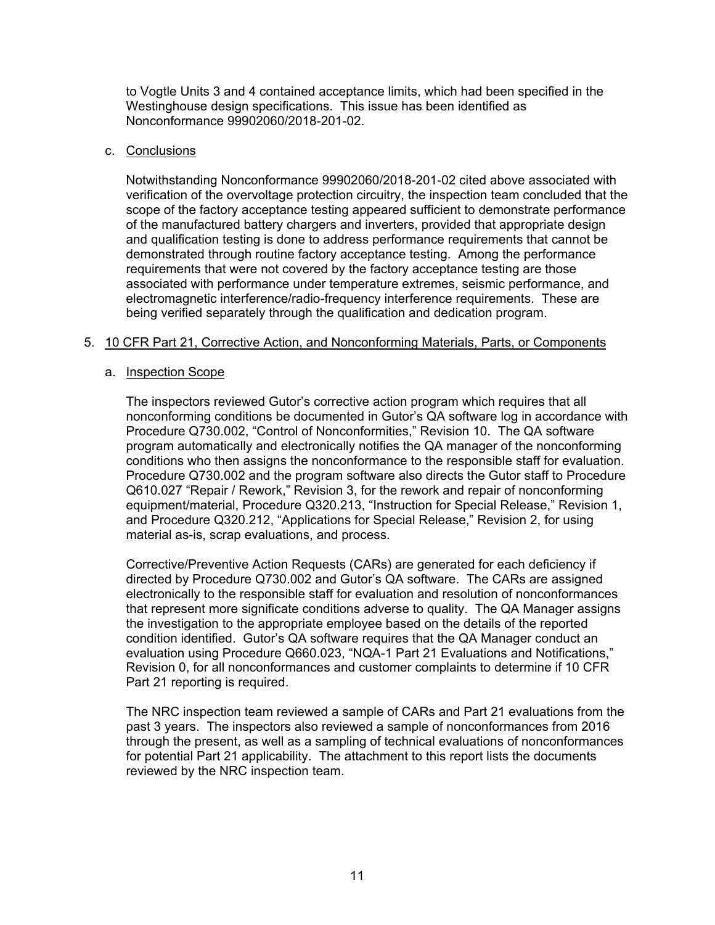to Vogtle Units 3 and 4 contained acceptance limits, which had been specified in the Westinghouse design specifications. This issue has been identified as Nonconformance 99902060/2018-201-02.

## c. Conclusions

Notwithstanding Nonconformance 99902060/2018-201-02 cited above associated with verification of the overvoltage protection circuitry, the inspection team concluded that the scope of the factory acceptance testing appeared sufficient to demonstrate performance of the manufactured battery chargers and inverters, provided that appropriate design and qualification testing is done to address performance requirements that cannot be demonstrated through routine factory acceptance testing. Among the performance requirements that were not covered by the factory acceptance testing are those associated with performance under temperature extremes, seismic performance, and electromagnetic interference/radio-frequency interference requirements. These are being verified separately through the qualification and dedication program.

## 5. 10 CFR Part 21, Corrective Action, and Nonconforming Materials, Parts, or Components

## a. Inspection Scope

The inspectors reviewed Gutor's corrective action program which requires that all nonconforming conditions be documented in Gutor's QA software log in accordance with Procedure Q730.002, "Control of Nonconformities," Revision 10. The QA software program automatically and electronically notifies the QA manager of the nonconforming conditions who then assigns the nonconformance to the responsible staff for evaluation. Procedure Q730.002 and the program software also directs the Gutor staff to Procedure Q610.027 "Repair / Rework," Revision 3, for the rework and repair of nonconforming equipment/material, Procedure Q320.213, "Instruction for Special Release," Revision 1, and Procedure Q320.212, "Applications for Special Release," Revision 2, for using material as-is, scrap evaluations, and process.

Corrective/Preventive Action Requests (CARs) are generated for each deficiency if directed by Procedure Q730.002 and Gutor's QA software. The CARs are assigned electronically to the responsible staff for evaluation and resolution of nonconformances that represent more significate conditions adverse to quality. The QA Manager assigns the investigation to the appropriate employee based on the details of the reported condition identified. Gutor's QA software requires that the QA Manager conduct an evaluation using Procedure Q660.023, "NQA-1 Part 21 Evaluations and Notifications," Revision 0, for all nonconformances and customer complaints to determine if 10 CFR Part 21 reporting is required.

The NRC inspection team reviewed a sample of CARs and Part 21 evaluations from the past 3 years. The inspectors also reviewed a sample of nonconformances from 2016 through the present, as well as a sampling of technical evaluations of nonconformances for potential Part 21 applicability. The attachment to this report lists the documents reviewed by the NRC inspection team.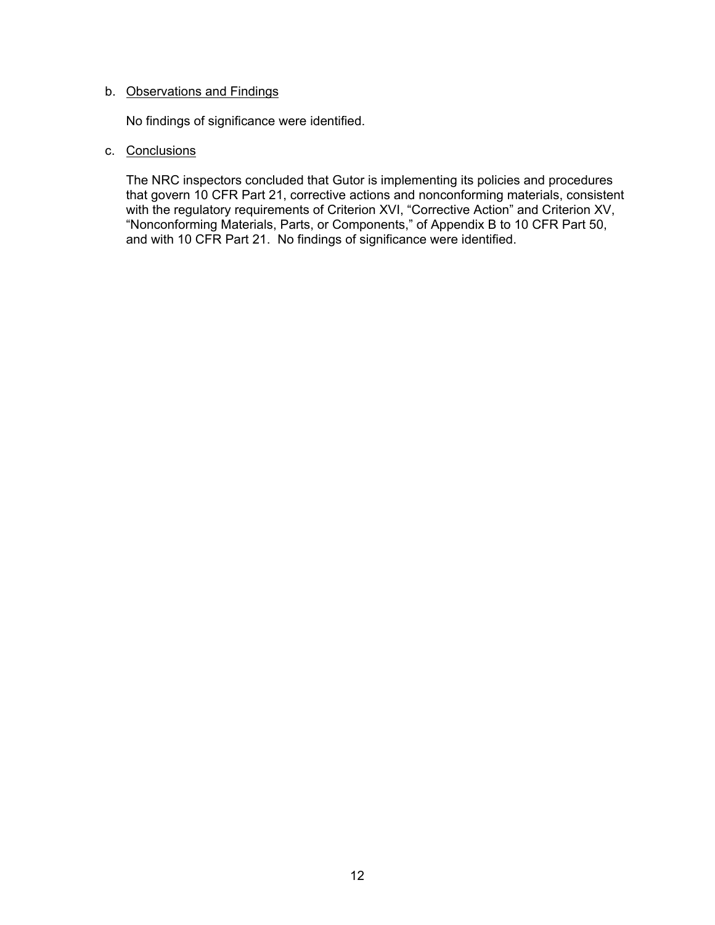## b. Observations and Findings

No findings of significance were identified.

## c. Conclusions

The NRC inspectors concluded that Gutor is implementing its policies and procedures that govern 10 CFR Part 21, corrective actions and nonconforming materials, consistent with the regulatory requirements of Criterion XVI, "Corrective Action" and Criterion XV, "Nonconforming Materials, Parts, or Components," of Appendix B to 10 CFR Part 50, and with 10 CFR Part 21. No findings of significance were identified.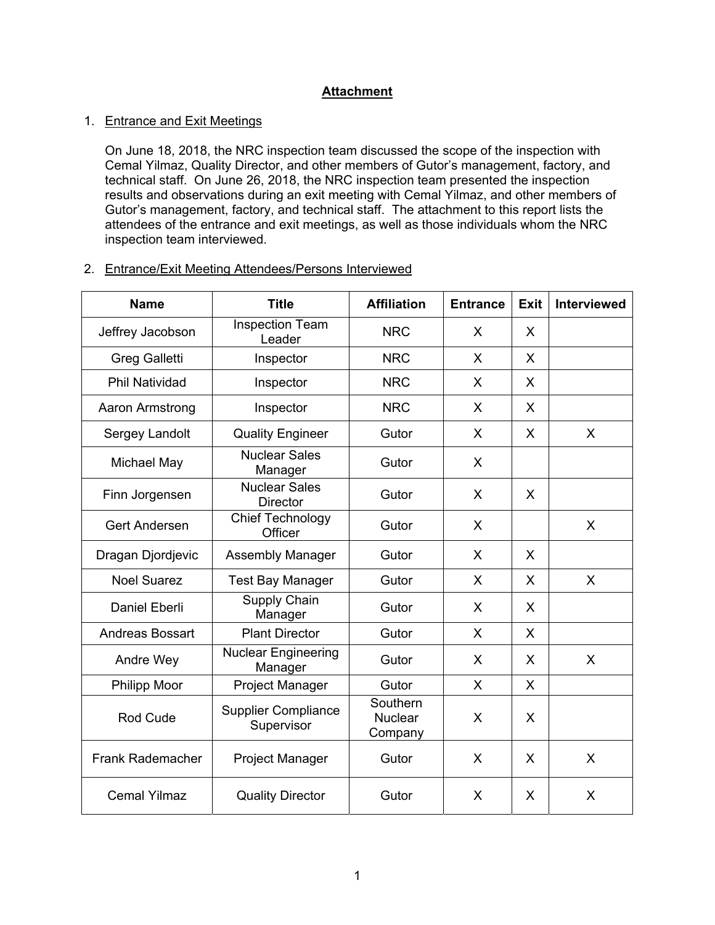# **Attachment**

# 1. Entrance and Exit Meetings

On June 18, 2018, the NRC inspection team discussed the scope of the inspection with Cemal Yilmaz, Quality Director, and other members of Gutor's management, factory, and technical staff. On June 26, 2018, the NRC inspection team presented the inspection results and observations during an exit meeting with Cemal Yilmaz, and other members of Gutor's management, factory, and technical staff. The attachment to this report lists the attendees of the entrance and exit meetings, as well as those individuals whom the NRC inspection team interviewed.

## 2. Entrance/Exit Meeting Attendees/Persons Interviewed

| <b>Name</b>             | <b>Title</b>                             | <b>Affiliation</b>                    | <b>Entrance</b> | <b>Exit</b> | Interviewed |
|-------------------------|------------------------------------------|---------------------------------------|-----------------|-------------|-------------|
| Jeffrey Jacobson        | <b>Inspection Team</b><br>Leader         | <b>NRC</b>                            | X               | X           |             |
| <b>Greg Galletti</b>    | Inspector                                | <b>NRC</b>                            | X               | X           |             |
| <b>Phil Natividad</b>   | Inspector                                | <b>NRC</b>                            | X               | X           |             |
| Aaron Armstrong         | Inspector                                | <b>NRC</b>                            | X               | X           |             |
| Sergey Landolt          | <b>Quality Engineer</b>                  | Gutor                                 | X               | X           | X           |
| Michael May             | <b>Nuclear Sales</b><br>Manager          | Gutor                                 | X               |             |             |
| Finn Jorgensen          | <b>Nuclear Sales</b><br><b>Director</b>  | Gutor                                 | X               | X           |             |
| <b>Gert Andersen</b>    | <b>Chief Technology</b><br>Officer       | Gutor                                 | X               |             | X           |
| Dragan Djordjevic       | Assembly Manager                         | Gutor                                 | X               | X           |             |
| <b>Noel Suarez</b>      | <b>Test Bay Manager</b>                  | Gutor                                 | X               | X           | X           |
| <b>Daniel Eberli</b>    | <b>Supply Chain</b><br>Manager           | Gutor                                 | X               | X           |             |
| Andreas Bossart         | <b>Plant Director</b>                    | Gutor                                 | X               | X           |             |
| Andre Wey               | <b>Nuclear Engineering</b><br>Manager    | Gutor                                 | X               | X           | X           |
| <b>Philipp Moor</b>     | Project Manager                          | Gutor                                 | X               | X           |             |
| <b>Rod Cude</b>         | <b>Supplier Compliance</b><br>Supervisor | Southern<br><b>Nuclear</b><br>Company | X               | X           |             |
| <b>Frank Rademacher</b> | Project Manager                          | Gutor                                 | X               | X           | X           |
| <b>Cemal Yilmaz</b>     | <b>Quality Director</b>                  | Gutor                                 | X               | X           | X           |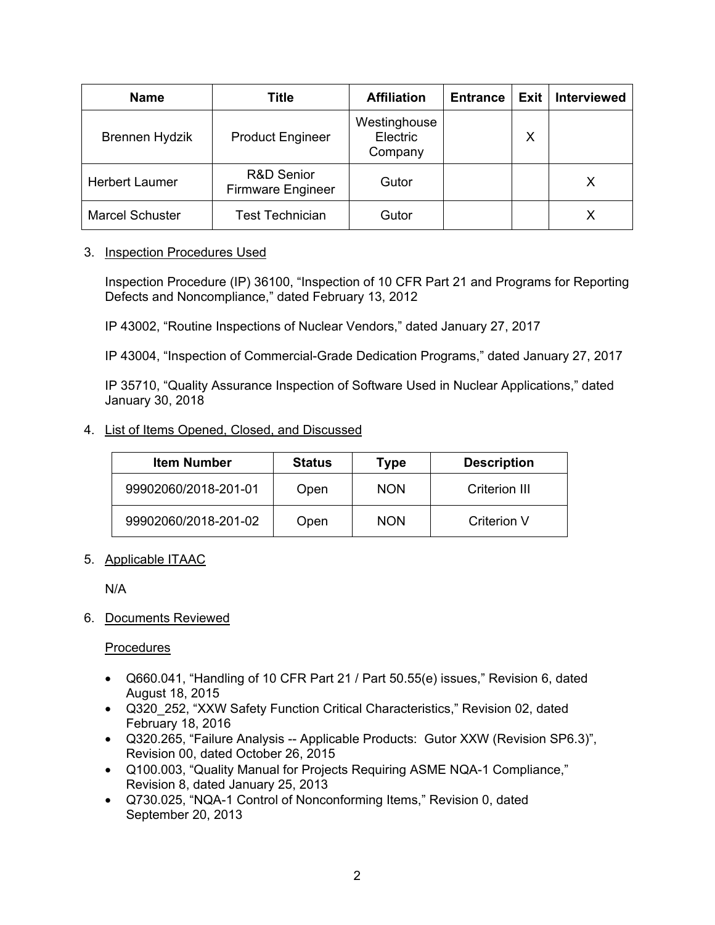| <b>Name</b>            | <b>Title</b>                                      | <b>Affiliation</b>                  | <b>Entrance</b> | Exit | <b>Interviewed</b> |
|------------------------|---------------------------------------------------|-------------------------------------|-----------------|------|--------------------|
| <b>Brennen Hydzik</b>  | <b>Product Engineer</b>                           | Westinghouse<br>Electric<br>Company |                 | X    |                    |
| <b>Herbert Laumer</b>  | <b>R&amp;D Senior</b><br><b>Firmware Engineer</b> | Gutor                               |                 |      | X                  |
| <b>Marcel Schuster</b> | <b>Test Technician</b>                            | Gutor                               |                 |      |                    |

## 3. Inspection Procedures Used

Inspection Procedure (IP) 36100, "Inspection of 10 CFR Part 21 and Programs for Reporting Defects and Noncompliance," dated February 13, 2012

IP 43002, "Routine Inspections of Nuclear Vendors," dated January 27, 2017

IP 43004, "Inspection of Commercial-Grade Dedication Programs," dated January 27, 2017

IP 35710, "Quality Assurance Inspection of Software Used in Nuclear Applications," dated January 30, 2018

# 4. List of Items Opened, Closed, and Discussed

| <b>Item Number</b>   | <b>Status</b> | Type       | <b>Description</b> |
|----------------------|---------------|------------|--------------------|
| 99902060/2018-201-01 | Open          | <b>NON</b> | Criterion III      |
| 99902060/2018-201-02 | Open          | <b>NON</b> | Criterion V        |

# 5. Applicable ITAAC

N/A

# 6. Documents Reviewed

**Procedures** 

- Q660.041, "Handling of 10 CFR Part 21 / Part 50.55(e) issues," Revision 6, dated August 18, 2015
- Q320 252, "XXW Safety Function Critical Characteristics," Revision 02, dated February 18, 2016
- Q320.265, "Failure Analysis -- Applicable Products: Gutor XXW (Revision SP6.3)", Revision 00, dated October 26, 2015
- Q100.003, "Quality Manual for Projects Requiring ASME NQA-1 Compliance," Revision 8, dated January 25, 2013
- Q730.025, "NQA-1 Control of Nonconforming Items," Revision 0, dated September 20, 2013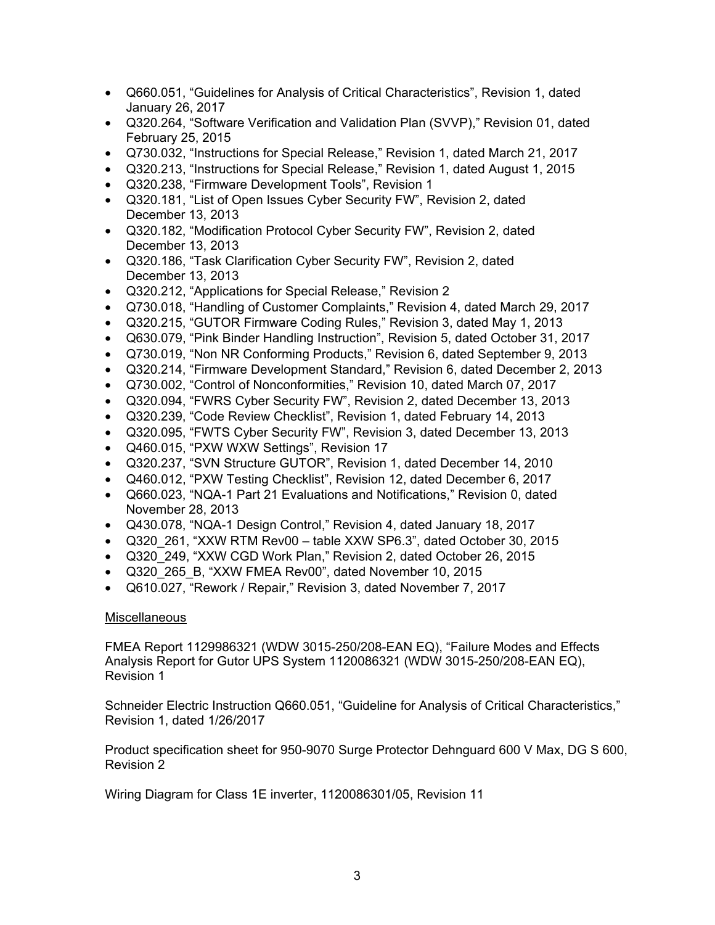- Q660.051, "Guidelines for Analysis of Critical Characteristics", Revision 1, dated January 26, 2017
- Q320.264, "Software Verification and Validation Plan (SVVP)," Revision 01, dated February 25, 2015
- Q730.032, "Instructions for Special Release," Revision 1, dated March 21, 2017
- Q320.213, "Instructions for Special Release," Revision 1, dated August 1, 2015
- Q320.238, "Firmware Development Tools", Revision 1
- Q320.181, "List of Open Issues Cyber Security FW", Revision 2, dated December 13, 2013
- Q320.182, "Modification Protocol Cyber Security FW", Revision 2, dated December 13, 2013
- Q320.186, "Task Clarification Cyber Security FW", Revision 2, dated December 13, 2013
- Q320.212, "Applications for Special Release," Revision 2
- Q730.018, "Handling of Customer Complaints," Revision 4, dated March 29, 2017
- Q320.215, "GUTOR Firmware Coding Rules," Revision 3, dated May 1, 2013
- Q630.079, "Pink Binder Handling Instruction", Revision 5, dated October 31, 2017
- Q730.019, "Non NR Conforming Products," Revision 6, dated September 9, 2013
- Q320.214, "Firmware Development Standard," Revision 6, dated December 2, 2013
- Q730.002, "Control of Nonconformities," Revision 10, dated March 07, 2017
- Q320.094, "FWRS Cyber Security FW", Revision 2, dated December 13, 2013
- Q320.239, "Code Review Checklist", Revision 1, dated February 14, 2013
- Q320.095, "FWTS Cyber Security FW", Revision 3, dated December 13, 2013
- Q460.015, "PXW WXW Settings", Revision 17
- Q320.237, "SVN Structure GUTOR", Revision 1, dated December 14, 2010
- Q460.012, "PXW Testing Checklist", Revision 12, dated December 6, 2017
- Q660.023, "NQA-1 Part 21 Evaluations and Notifications," Revision 0, dated November 28, 2013
- Q430.078, "NQA-1 Design Control," Revision 4, dated January 18, 2017
- Q320 261, "XXW RTM Rev00 table XXW SP6.3", dated October 30, 2015
- Q320 249, "XXW CGD Work Plan," Revision 2, dated October 26, 2015
- Q320\_265\_B, "XXW FMEA Rev00", dated November 10, 2015
- Q610.027, "Rework / Repair," Revision 3, dated November 7, 2017

# **Miscellaneous**

FMEA Report 1129986321 (WDW 3015-250/208-EAN EQ), "Failure Modes and Effects Analysis Report for Gutor UPS System 1120086321 (WDW 3015-250/208-EAN EQ), Revision 1

Schneider Electric Instruction Q660.051, "Guideline for Analysis of Critical Characteristics," Revision 1, dated 1/26/2017

Product specification sheet for 950-9070 Surge Protector Dehnguard 600 V Max, DG S 600, Revision 2

Wiring Diagram for Class 1E inverter, 1120086301/05, Revision 11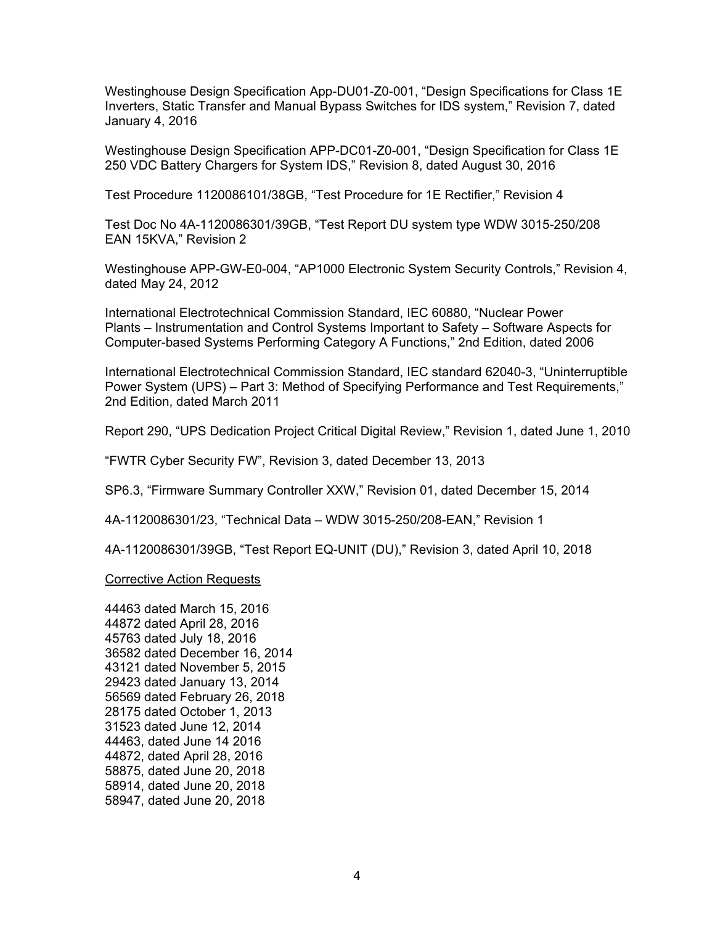Westinghouse Design Specification App-DU01-Z0-001, "Design Specifications for Class 1E Inverters, Static Transfer and Manual Bypass Switches for IDS system," Revision 7, dated January 4, 2016

Westinghouse Design Specification APP-DC01-Z0-001, "Design Specification for Class 1E 250 VDC Battery Chargers for System IDS," Revision 8, dated August 30, 2016

Test Procedure 1120086101/38GB, "Test Procedure for 1E Rectifier," Revision 4

Test Doc No 4A-1120086301/39GB, "Test Report DU system type WDW 3015-250/208 EAN 15KVA," Revision 2

Westinghouse APP-GW-E0-004, "AP1000 Electronic System Security Controls," Revision 4, dated May 24, 2012

International Electrotechnical Commission Standard, IEC 60880, "Nuclear Power Plants – Instrumentation and Control Systems Important to Safety – Software Aspects for Computer-based Systems Performing Category A Functions," 2nd Edition, dated 2006

International Electrotechnical Commission Standard, IEC standard 62040-3, "Uninterruptible Power System (UPS) – Part 3: Method of Specifying Performance and Test Requirements," 2nd Edition, dated March 2011

Report 290, "UPS Dedication Project Critical Digital Review," Revision 1, dated June 1, 2010

"FWTR Cyber Security FW", Revision 3, dated December 13, 2013

SP6.3, "Firmware Summary Controller XXW," Revision 01, dated December 15, 2014

4A-1120086301/23, "Technical Data – WDW 3015-250/208-EAN," Revision 1

4A-1120086301/39GB, "Test Report EQ-UNIT (DU)," Revision 3, dated April 10, 2018

#### Corrective Action Requests

44463 dated March 15, 2016 44872 dated April 28, 2016 45763 dated July 18, 2016 36582 dated December 16, 2014 43121 dated November 5, 2015 29423 dated January 13, 2014 56569 dated February 26, 2018 28175 dated October 1, 2013 31523 dated June 12, 2014 44463, dated June 14 2016 44872, dated April 28, 2016 58875, dated June 20, 2018 58914, dated June 20, 2018 58947, dated June 20, 2018